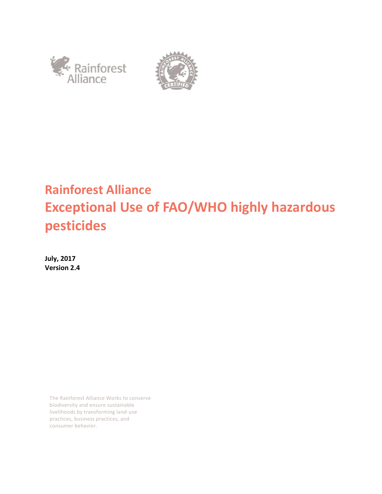



# **Rainforest Alliance Exceptional Use of FAO/WHO highly hazardous pesticides**

**July, 2017 Version 2.4**

> The Rainforest Alliance Works to conserve biodiversity and ensure sustainable livelihoods by transforming land-use practices, business practices, and consumer behavior.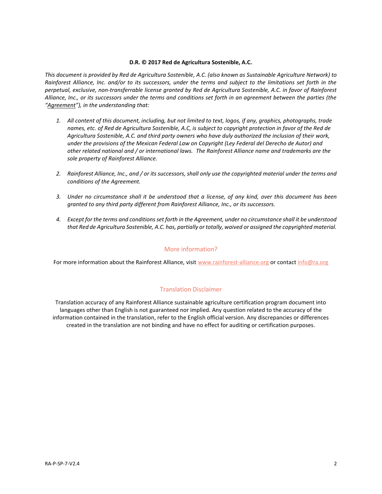#### **D.R. © 2017 Red de Agricultura Sostenible, A.C.**

*This document is provided by Red de Agricultura Sostenible, A.C. (also known as Sustainable Agriculture Network) to Rainforest Alliance, Inc. and/or to its successors, under the terms and subject to the limitations set forth in the perpetual, exclusive, non-transferrable license granted by Red de Agricultura Sostenible, A.C. in favor of Rainforest Alliance, Inc., or its successors under the terms and conditions set forth in an agreement between the parties (the "Agreement"), in the understanding that:*

- *1. All content of this document, including, but not limited to text, logos, if any, graphics, photographs, trade names, etc. of Red de Agricultura Sostenible, A.C, is subject to copyright protection in favor of the Red de Agricultura Sostenible, A.C. and third party owners who have duly authorized the inclusion of their work, under the provisions of the Mexican Federal Law on Copyright (Ley Federal del Derecho de Autor) and other related national and / or international laws. The Rainforest Alliance name and trademarks are the sole property of Rainforest Alliance.*
- *2. Rainforest Alliance, Inc., and / or its successors, shall only use the copyrighted material under the terms and conditions of the Agreement.*
- *3. Under no circumstance shall it be understood that a license, of any kind, over this document has been granted to any third party different from Rainforest Alliance, Inc., or its successors.*
- *4. Except for the terms and conditions set forth in the Agreement, under no circumstance shall it be understood that Red de Agricultura Sostenible, A.C. has, partially or totally, waived or assigned the copyrighted material.*

#### More information?

For more information about the Rainforest Alliance, visit [www.rainforest-alliance.org](http://www.rainforest-alliance.org/) or contact [info@ra.org](mailto:info@ra.org)

#### Translation Disclaimer

Translation accuracy of any Rainforest Alliance sustainable agriculture certification program document into languages other than English is not guaranteed nor implied. Any question related to the accuracy of the information contained in the translation, refer to the English official version. Any discrepancies or differences created in the translation are not binding and have no effect for auditing or certification purposes.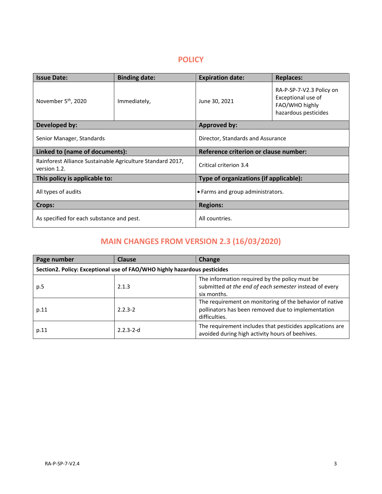### **POLICY**

| <b>Issue Date:</b>                                                         | <b>Binding date:</b> | <b>Expiration date:</b>                | <b>Replaces:</b>                                                                         |
|----------------------------------------------------------------------------|----------------------|----------------------------------------|------------------------------------------------------------------------------------------|
| November 5 <sup>th</sup> , 2020                                            | Immediately,         | June 30, 2021                          | RA-P-SP-7-V2.3 Policy on<br>Exceptional use of<br>FAO/WHO highly<br>hazardous pesticides |
| Developed by:                                                              |                      | <b>Approved by:</b>                    |                                                                                          |
| Senior Manager, Standards                                                  |                      | Director, Standards and Assurance      |                                                                                          |
| Linked to (name of documents):                                             |                      | Reference criterion or clause number:  |                                                                                          |
| Rainforest Alliance Sustainable Agriculture Standard 2017,<br>version 1.2. |                      | Critical criterion 3.4                 |                                                                                          |
| This policy is applicable to:                                              |                      | Type of organizations (if applicable): |                                                                                          |
| All types of audits                                                        |                      | • Farms and group administrators.      |                                                                                          |
| Crops:                                                                     |                      | <b>Regions:</b>                        |                                                                                          |
| As specified for each substance and pest.                                  |                      | All countries.                         |                                                                                          |

# **MAIN CHANGES FROM VERSION 2.3 (16/03/2020)**

| Page number                                                              | <b>Clause</b>   | <b>Change</b>                                                                                                                  |  |
|--------------------------------------------------------------------------|-----------------|--------------------------------------------------------------------------------------------------------------------------------|--|
| Section2. Policy: Exceptional use of FAO/WHO highly hazardous pesticides |                 |                                                                                                                                |  |
| p.5                                                                      | 2.1.3           | The information required by the policy must be<br>submitted at the end of each semester instead of every<br>six months.        |  |
| p.11                                                                     | $2.2.3 - 2$     | The requirement on monitoring of the behavior of native<br>pollinators has been removed due to implementation<br>difficulties. |  |
| p.11                                                                     | $2.2.3 - 2 - d$ | The requirement includes that pesticides applications are<br>avoided during high activity hours of beehives.                   |  |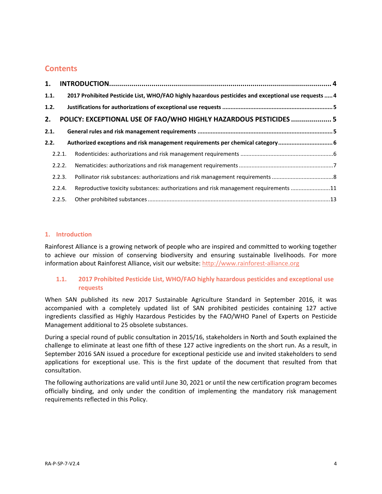# **Contents**

| 1.   |        |                                                                                                     |  |
|------|--------|-----------------------------------------------------------------------------------------------------|--|
| 1.1. |        | 2017 Prohibited Pesticide List, WHO/FAO highly hazardous pesticides and exceptional use requests  4 |  |
| 1.2. |        |                                                                                                     |  |
| 2.   |        | POLICY: EXCEPTIONAL USE OF FAO/WHO HIGHLY HAZARDOUS PESTICIDES  5                                   |  |
| 2.1. |        |                                                                                                     |  |
| 2.2. |        | Authorized exceptions and risk management requirements per chemical category 6                      |  |
|      | 2.2.1. |                                                                                                     |  |
|      | 2.2.2. |                                                                                                     |  |
|      | 2.2.3. |                                                                                                     |  |
|      | 2.2.4. | Reproductive toxicity substances: authorizations and risk management requirements 11                |  |
|      | 2.2.5. |                                                                                                     |  |

#### <span id="page-3-0"></span>**1. Introduction**

Rainforest Alliance is a growing network of people who are inspired and committed to working together to achieve our mission of conserving biodiversity and ensuring sustainable livelihoods. For more information about Rainforest Alliance, visit our website: [http://www.rainforest-alliance.org](http://www.rainforest-alliance.org/)

#### <span id="page-3-1"></span>**1.1. 2017 Prohibited Pesticide List, WHO/FAO highly hazardous pesticides and exceptional use requests**

When SAN published its new 2017 Sustainable Agriculture Standard in September 2016, it was accompanied with a completely updated list of SAN prohibited pesticides containing 127 active ingredients classified as Highly Hazardous Pesticides by the FAO/WHO Panel of Experts on Pesticide Management additional to 25 obsolete substances.

During a special round of public consultation in 2015/16, stakeholders in North and South explained the challenge to eliminate at least one fifth of these 127 active ingredients on the short run. As a result, in September 2016 SAN issued a procedure for exceptional pesticide use and invited stakeholders to send applications for exceptional use. This is the first update of the document that resulted from that consultation.

<span id="page-3-2"></span>The following authorizations are valid until June 30, 2021 or until the new certification program becomes officially binding, and only under the condition of implementing the mandatory risk management requirements reflected in this Policy.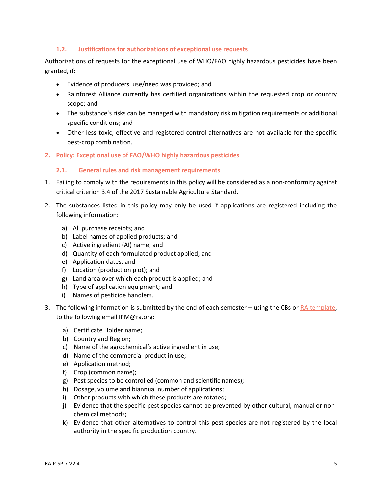#### **1.2. Justifications for authorizations of exceptional use requests**

Authorizations of requests for the exceptional use of WHO/FAO highly hazardous pesticides have been granted, if:

- Evidence of producers' use/need was provided; and
- Rainforest Alliance currently has certified organizations within the requested crop or country scope; and
- The substance's risks can be managed with mandatory risk mitigation requirements or additional specific conditions; and
- Other less toxic, effective and registered control alternatives are not available for the specific pest-crop combination.
- <span id="page-4-1"></span><span id="page-4-0"></span>**2. Policy: Exceptional use of FAO/WHO highly hazardous pesticides**

#### **2.1. General rules and risk management requirements**

- 1. Failing to comply with the requirements in this policy will be considered as a non-conformity against critical criterion 3.4 of the 2017 Sustainable Agriculture Standard.
- 2. The substances listed in this policy may only be used if applications are registered including the following information:
	- a) All purchase receipts; and
	- b) Label names of applied products; and
	- c) Active ingredient (AI) name; and
	- d) Quantity of each formulated product applied; and
	- e) Application dates; and
	- f) Location (production plot); and
	- g) Land area over which each product is applied; and
	- h) Type of application equipment; and
	- i) Names of pesticide handlers.
- 3. The following information is submitted by the end of each semester using the CBs or [RA template,](https://raorg-my.sharepoint.com/:x:/g/personal/mbonilla_ra_org/EQXN6EqRtv5NjulTkFqKoKEBTioKjv0fXDFqU296CNldPA?e=ask5sI) to the following email IPM@ra.org:
	- a) Certificate Holder name;
	- b) Country and Region;
	- c) Name of the agrochemical's active ingredient in use;
	- d) Name of the commercial product in use;
	- e) Application method;
	- f) Crop (common name);
	- g) Pest species to be controlled (common and scientific names);
	- h) Dosage, volume and biannual number of applications;
	- i) Other products with which these products are rotated;
	- j) Evidence that the specific pest species cannot be prevented by other cultural, manual or nonchemical methods;
	- k) Evidence that other alternatives to control this pest species are not registered by the local authority in the specific production country.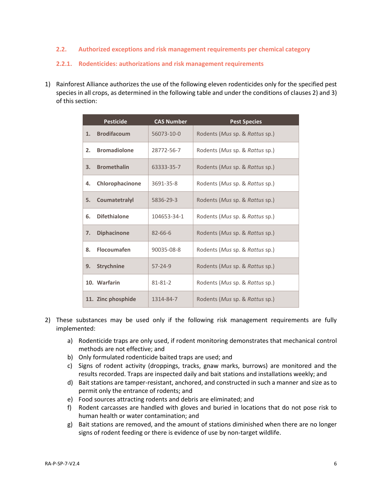#### <span id="page-5-0"></span>**2.2. Authorized exceptions and risk management requirements per chemical category**

#### <span id="page-5-1"></span>**2.2.1. Rodenticides: authorizations and risk management requirements**

1) Rainforest Alliance authorizes the use of the following eleven rodenticides only for the specified pest species in all crops, as determined in the following table and under the conditions of clauses 2) and 3) of this section:

|    | <b>Pesticide</b>    | <b>CAS Number</b> | <b>Pest Species</b>            |
|----|---------------------|-------------------|--------------------------------|
| 1. | <b>Brodifacoum</b>  | 56073-10-0        | Rodents (Mus sp. & Rattus sp.) |
| 2. | <b>Bromadiolone</b> | 28772-56-7        | Rodents (Mus sp. & Rattus sp.) |
| 3. | <b>Bromethalin</b>  | 63333-35-7        | Rodents (Mus sp. & Rattus sp.) |
| 4. | Chlorophacinone     | 3691-35-8         | Rodents (Mus sp. & Rattus sp.) |
| 5. | Coumatetralyl       | 5836-29-3         | Rodents (Mus sp. & Rattus sp.) |
| 6. | <b>Difethialone</b> | 104653-34-1       | Rodents (Mus sp. & Rattus sp.) |
| 7. | <b>Diphacinone</b>  | $82 - 66 - 6$     | Rodents (Mus sp. & Rattus sp.) |
| 8. | <b>Flocoumafen</b>  | 90035-08-8        | Rodents (Mus sp. & Rattus sp.) |
| 9. | <b>Strychnine</b>   | $57 - 24 - 9$     | Rodents (Mus sp. & Rattus sp.) |
|    | 10. Warfarin        | 81-81-2           | Rodents (Mus sp. & Rattus sp.) |
|    | 11. Zinc phosphide  | 1314-84-7         | Rodents (Mus sp. & Rattus sp.) |

- 2) These substances may be used only if the following risk management requirements are fully implemented:
	- a) Rodenticide traps are only used, if rodent monitoring demonstrates that mechanical control methods are not effective; and
	- b) Only formulated rodenticide baited traps are used; and
	- c) Signs of rodent activity (droppings, tracks, gnaw marks, burrows) are monitored and the results recorded. Traps are inspected daily and bait stations and installations weekly; and
	- d) Bait stations are tamper-resistant, anchored, and constructed in such a manner and size as to permit only the entrance of rodents; and
	- e) Food sources attracting rodents and debris are eliminated; and
	- f) Rodent carcasses are handled with gloves and buried in locations that do not pose risk to human health or water contamination; and
	- g) Bait stations are removed, and the amount of stations diminished when there are no longer signs of rodent feeding or there is evidence of use by non-target wildlife.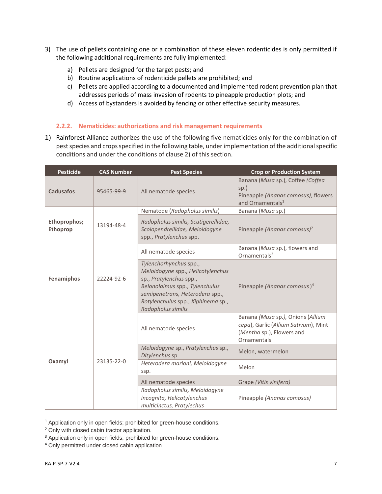- 3) The use of pellets containing one or a combination of these eleven rodenticides is only permitted if the following additional requirements are fully implemented:
	- a) Pellets are designed for the target pests; and
	- b) Routine applications of rodenticide pellets are prohibited; and
	- c) Pellets are applied according to a documented and implemented rodent prevention plan that addresses periods of mass invasion of rodents to pineapple production plots; and
	- d) Access of bystanders is avoided by fencing or other effective security measures.

#### <span id="page-6-0"></span>**2.2.2. Nematicides: authorizations and risk management requirements**

1) Rainforest Alliance authorizes the use of the following five nematicides only for the combination of pest species and crops specified in the following table, under implementation of the additional specific conditions and under the conditions of clause 2) of this section.

| <b>Pesticide</b>                | <b>CAS Number</b> | <b>Pest Species</b>                                                                                                                                                                                                     | <b>Crop or Production System</b>                                                                                      |
|---------------------------------|-------------------|-------------------------------------------------------------------------------------------------------------------------------------------------------------------------------------------------------------------------|-----------------------------------------------------------------------------------------------------------------------|
| <b>Cadusafos</b>                | 95465-99-9        | All nematode species                                                                                                                                                                                                    | Banana (Musa sp.), Coffee (Coffea<br>$sp.$ )<br>Pineapple (Ananas comosus), flowers<br>and Ornamentals <sup>1</sup>   |
|                                 |                   | Nematode (Radopholus similis)                                                                                                                                                                                           | Banana (Musa sp.)                                                                                                     |
| Ethoprophos;<br><b>Ethoprop</b> | 13194-48-4        | Radopholus similis, Scutigerellidae,<br>Scolopendrellidae, Meloidogyne<br>spp., Pratylenchus spp.                                                                                                                       | Pineapple (Ananas comosus) <sup>2</sup>                                                                               |
|                                 |                   | All nematode species                                                                                                                                                                                                    | Banana (Musa sp.), flowers and<br>Ornamentals $3$                                                                     |
| Fenamiphos                      | 22224-92-6        | Tylenchorhynchus spp.,<br>Meloidogyne spp., Helicotylenchus<br>sp., Pratylenchus spp.,<br>Belonolaimus spp., Tylenchulus<br>semipenetrans, Heterodera spp.,<br>Rotylenchulus spp., Xiphinema sp.,<br>Radopholus similis | Pineapple (Ananas comosus) <sup>4</sup>                                                                               |
| Oxamyl                          | 23135-22-0        | All nematode species                                                                                                                                                                                                    | Banana (Musa sp.), Onions (Allium<br>cepa), Garlic (Allium Sativum), Mint<br>(Mentha sp.), Flowers and<br>Ornamentals |
|                                 |                   | Meloidogyne sp., Pratylenchus sp.,<br>Ditylenchus sp.                                                                                                                                                                   | Melon, watermelon                                                                                                     |
|                                 |                   | Heterodera marioni, Meloidogyne<br>ssp.                                                                                                                                                                                 | Melon                                                                                                                 |
|                                 |                   | All nematode species                                                                                                                                                                                                    | Grape (Vitis vinifera)                                                                                                |
|                                 |                   | Radopholus similis, Meloidogyne<br>incognita, Helicotylenchus<br>multicinctus, Pratylechus                                                                                                                              | Pineapple (Ananas comosus)                                                                                            |

<sup>&</sup>lt;sup>1</sup> Application only in open fields; prohibited for green-house conditions.

<sup>&</sup>lt;sup>2</sup> Only with closed cabin tractor application.

<sup>&</sup>lt;sup>3</sup> Application only in open fields; prohibited for green-house conditions.

<sup>4</sup> Only permitted under closed cabin application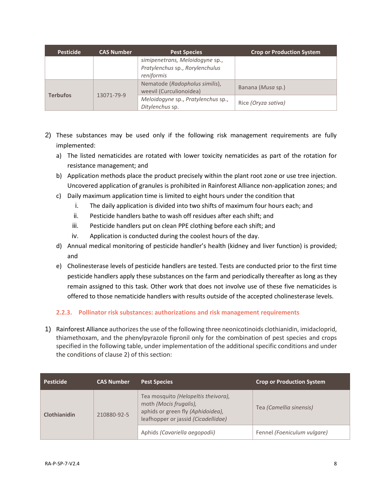| <b>Pesticide</b> | <b>CAS Number</b> | <b>Pest Species</b>                                                              | <b>Crop or Production System</b> |
|------------------|-------------------|----------------------------------------------------------------------------------|----------------------------------|
|                  |                   | simipenetrans, Meloidogyne sp.,<br>Pratylenchus sp., Rorylenchulus<br>reniformis |                                  |
| <b>Terbufos</b>  | 13071-79-9        | Nematode (Radopholus similis),<br>weevil (Curculionoidea)                        | Banana ( <i>Musa</i> sp.)        |
|                  |                   | Meloidogyne sp., Pratylenchus sp.,<br>Ditylenchus sp.                            | Rice (Oryza sativa)              |

- 2) These substances may be used only if the following risk management requirements are fully implemented:
	- a) The listed nematicides are rotated with lower toxicity nematicides as part of the rotation for resistance management; and
	- b) Application methods place the product precisely within the plant root zone or use tree injection. Uncovered application of granules is prohibited in Rainforest Alliance non-application zones; and
	- c) Daily maximum application time is limited to eight hours under the condition that
		- i. The daily application is divided into two shifts of maximum four hours each; and
		- ii. Pesticide handlers bathe to wash off residues after each shift; and
		- iii. Pesticide handlers put on clean PPE clothing before each shift; and
		- iv. Application is conducted during the coolest hours of the day.
	- d) Annual medical monitoring of pesticide handler's health (kidney and liver function) is provided; and
	- e) Cholinesterase levels of pesticide handlers are tested. Tests are conducted prior to the first time pesticide handlers apply these substances on the farm and periodically thereafter as long as they remain assigned to this task. Other work that does not involve use of these five nematicides is offered to those nematicide handlers with results outside of the accepted cholinesterase levels.

#### <span id="page-7-0"></span>**2.2.3. Pollinator risk substances: authorizations and risk management requirements**

1) Rainforest Alliance authorizes the use of the following three neonicotinoids clothianidin, imidacloprid, thiamethoxam, and the phenylpyrazole fipronil only for the combination of pest species and crops specified in the following table, under implementation of the additional specific conditions and under the conditions of clause 2) of this section:

| <b>Pesticide</b> | <b>CAS Number</b> | <b>Pest Species</b>                                                                                                                       | <b>Crop or Production System</b> |
|------------------|-------------------|-------------------------------------------------------------------------------------------------------------------------------------------|----------------------------------|
| Clothianidin     | 210880-92-5       | Tea mosquito (Helopeltis theivora),<br>moth (Mocis frugalis),<br>aphids or green fly (Aphidoidea),<br>leafhopper or jassid (Cicadellidae) | Tea (Camellia sinensis)          |
|                  |                   | Aphids (Cavariella aegopodii)                                                                                                             | Fennel (Foeniculum vulgare)      |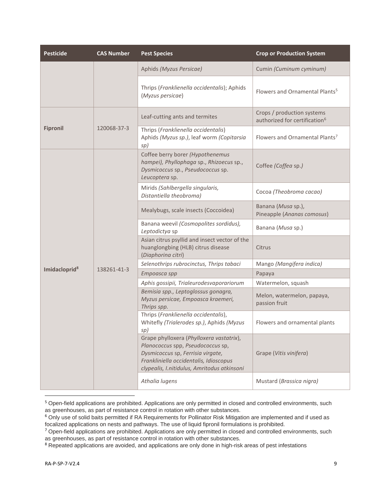| <b>Pesticide</b>          | <b>CAS Number</b> | <b>Pest Species</b>                                                                                                                                                                                         | <b>Crop or Production System</b>                                        |
|---------------------------|-------------------|-------------------------------------------------------------------------------------------------------------------------------------------------------------------------------------------------------------|-------------------------------------------------------------------------|
|                           |                   | Aphids (Myzus Persicae)                                                                                                                                                                                     | Cumin (Cuminum cyminum)                                                 |
|                           |                   | Thrips (Franklienella occidentalis); Aphids<br>(Myzus persicae)                                                                                                                                             | Flowers and Ornamental Plants <sup>5</sup>                              |
|                           |                   | Leaf-cutting ants and termites                                                                                                                                                                              | Crops / production systems<br>authorized for certification <sup>6</sup> |
| <b>Fipronil</b>           | 120068-37-3       | Thrips (Franklienella occidentalis)<br>Aphids (Myzus sp.), leaf worm (Copitarsia<br>sp)                                                                                                                     | Flowers and Ornamental Plants <sup>7</sup>                              |
|                           | 138261-41-3       | Coffee berry borer (Hypothenemus<br>hampei), Phyllophaga sp., Rhizoecus sp.,<br>Dysmicoccus sp., Pseudococcus sp.<br>Leucoptera sp.                                                                         | Coffee (Coffea sp.)                                                     |
|                           |                   | Mirids (Sahlbergella singularis,<br>Distantiella theobroma)                                                                                                                                                 | Cocoa (Theobroma cacao)                                                 |
|                           |                   | Mealybugs, scale insects (Coccoidea)                                                                                                                                                                        | Banana (Musa sp.),<br>Pineapple (Ananas comosus)                        |
|                           |                   | Banana weevil (Cosmopolites sordidus),<br>Leptodictya sp                                                                                                                                                    | Banana (Musa sp.)                                                       |
|                           |                   | Asian citrus psyllid and insect vector of the<br>huanglongbing (HLB) citrus disease<br>(Diaphorina citri)                                                                                                   | Citrus                                                                  |
|                           |                   | Selenothrips rubrocinctus, Thrips tabaci                                                                                                                                                                    | Mango (Mangifera indica)                                                |
| Imidacloprid <sup>8</sup> |                   | Empoasca spp                                                                                                                                                                                                | Papaya                                                                  |
|                           |                   | Aphis gossipii, Trialeurodesvaporariorum                                                                                                                                                                    | Watermelon, squash                                                      |
|                           |                   | Bemisia spp., Leptoglossus gonagra,<br>Myzus persicae, Empoasca kraemeri,<br>Thrips spp.                                                                                                                    | Melon, watermelon, papaya,<br>passion fruit                             |
|                           |                   | Thrips (Franklienella occidentalis),<br>Whitefly (Trialerodes sp.), Aphids (Myzus<br>sp)                                                                                                                    | Flowers and ornamental plants                                           |
|                           |                   | Grape phylloxera (Phylloxera vastatrix),<br>Planococcus spp, Pseudococcus sp,<br>Dysmicoccus sp, Ferrisia virgate,<br>Frankliniella occidentalis, Idioscopus<br>clypealis, I.nitidulus, Amritodus atkinsoni | Grape (Vitis vinifera)                                                  |
|                           |                   | Athalia lugens                                                                                                                                                                                              | Mustard (Brassica nigra)                                                |

<sup>&</sup>lt;sup>5</sup> Open-field applications are prohibited. Applications are only permitted in closed and controlled environments, such as greenhouses, as part of resistance control in rotation with other substances.

<sup>&</sup>lt;sup>6</sup> Only use of solid baits permitted if RA Requirements for Pollinator Risk Mitigation are implemented and if used as focalized applications on nests and pathways. The use of liquid fipronil formulations is prohibited.

<sup>&</sup>lt;sup>7</sup> Open-field applications are prohibited. Applications are only permitted in closed and controlled environments, such as greenhouses, as part of resistance control in rotation with other substances.

<sup>&</sup>lt;sup>8</sup> Repeated applications are avoided, and applications are only done in high-risk areas of pest infestations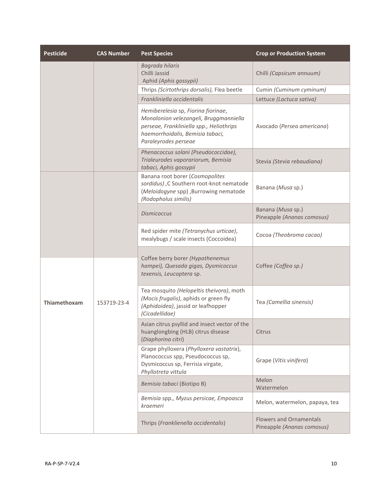| <b>Pesticide</b> | <b>CAS Number</b> | <b>Pest Species</b>                                                                                                                                                                   | <b>Crop or Production System</b>                             |
|------------------|-------------------|---------------------------------------------------------------------------------------------------------------------------------------------------------------------------------------|--------------------------------------------------------------|
|                  |                   | Bagrada hilaris<br>Chilli Jassid<br>Aphid (Aphis gossypii)                                                                                                                            | Chilli (Capsicum annuum)                                     |
|                  |                   | Thrips (Scirtothrips dorsalis), Flea beetle                                                                                                                                           | Cumin (Cuminum cyminum)                                      |
|                  |                   | Frankliniella occidentalis                                                                                                                                                            | Lettuce (Lactuca sativa)                                     |
|                  |                   | Hemiberelesia sp, Fiorina fiorinae,<br>Monalonion velezangeli, Bruggmanniella<br>perseae, Frankliniella spp., Heliothrips<br>haemorrhoidalis, Bemisia tabaci,<br>Paraleyrodes perseae | Avocado (Persea americana)                                   |
|                  |                   | Phenacoccus solani (Pseudococcidae),<br>Trialeurodes vaporariorum, Bemisia<br>tabaci, Aphis gossypii                                                                                  | Stevia (Stevia rebaudiana)                                   |
|                  |                   | Banana root borer (Cosmopolites<br>sordidus), C Southern root-knot nematode<br>(Meloidogyne spp), Burrowing nematode<br>(Rodopholus similis)                                          | Banana (Musa sp.)                                            |
|                  |                   | <b>Dismicoccus</b>                                                                                                                                                                    | Banana (Musa sp.)<br>Pineapple (Ananas comosus)              |
|                  |                   | Red spider mite (Tetranychus urticae),<br>mealybugs / scale insects (Coccoidea)                                                                                                       | Cocoa (Theobroma cacao)                                      |
|                  |                   | Coffee berry borer (Hypothenemus<br>hampei), Quesada gigas, Dysmicoccus<br>texensis, Leucoptera sp.                                                                                   | Coffee (Coffea sp.)                                          |
| Thiamethoxam     | 153719-23-4       | Tea mosquito (Helopeltis theivora), moth<br>(Mocis frugalis), aphids or green fly<br>(Aphidoidea), jassid or leafhopper<br>(Cicadellidae)                                             | Tea (Camellia sinensis)                                      |
|                  |                   | Asian citrus psyllid and insect vector of the<br>huanglongbing (HLB) citrus disease<br>(Diaphorina citri)                                                                             | Citrus                                                       |
|                  |                   | Grape phylloxera (Phylloxera vastatrix),<br>Planococcus spp, Pseudococcus sp,<br>Dysmicoccus sp, Ferrisia virgate,<br>Phyllotreta vittula                                             | Grape (Vitis vinifera)                                       |
|                  |                   | Bemisia tabaci (Biotipo B)                                                                                                                                                            | Melon<br>Watermelon                                          |
|                  |                   | Bemisia spp., Myzus persicae, Empoasca<br>kraemeri                                                                                                                                    | Melon, watermelon, papaya, tea                               |
|                  |                   | Thrips (Franklienella occidentalis)                                                                                                                                                   | <b>Flowers and Ornamentals</b><br>Pineapple (Ananas comosus) |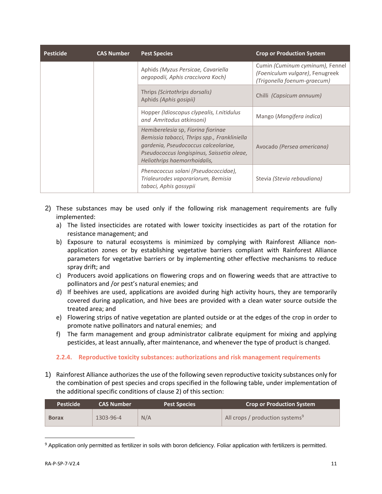| <b>Pesticide</b> | <b>CAS Number</b> | <b>Pest Species</b>                                                                                                                                                                                      | <b>Crop or Production System</b>                                                                  |
|------------------|-------------------|----------------------------------------------------------------------------------------------------------------------------------------------------------------------------------------------------------|---------------------------------------------------------------------------------------------------|
|                  |                   | Aphids (Myzus Persicae, Cavariella<br>aegopodii, Aphis craccivora Koch)                                                                                                                                  | Cumin (Cuminum cyminum), Fennel<br>(Foeniculum vulgare), Fenugreek<br>(Trigonella foenum-graecum) |
|                  |                   | Thrips (Scirtothrips dorsalis)<br>Aphids (Aphis gosipii)                                                                                                                                                 | Chilli <i>(Capsicum annuum)</i>                                                                   |
|                  |                   | Hopper (Idioscopus clypealis, I.nitidulus<br>and Amritodus atkinsoni)                                                                                                                                    | Mango (Mangifera indica)                                                                          |
|                  |                   | Hemiberelesia sp, Fiorina fiorinae<br>Bemissia tabacci, Thrips spp., Frankliniella<br>gardenia, Pseudococcus calceolariae,<br>Pseudococcus longispinus, Saissetia oleae,<br>Heliothrips haemorrhoidalis, | Avocado (Persea americana)                                                                        |
|                  |                   | Phenacoccus solani (Pseudococcidae),<br>Trialeurodes vaporariorum, Bemisia<br>tabaci, Aphis gossypii                                                                                                     | Stevia (Stevia rebaudiana)                                                                        |

- 2) These substances may be used only if the following risk management requirements are fully implemented:
	- a) The listed insecticides are rotated with lower toxicity insecticides as part of the rotation for resistance management; and
	- b) Exposure to natural ecosystems is minimized by complying with Rainforest Alliance nonapplication zones or by establishing vegetative barriers compliant with Rainforest Alliance parameters for vegetative barriers or by implementing other effective mechanisms to reduce spray drift; and
	- c) Producers avoid applications on flowering crops and on flowering weeds that are attractive to pollinators and /or pest's natural enemies; and
	- d) If beehives are used, applications are avoided during high activity hours, they are temporarily covered during application, and hive bees are provided with a clean water source outside the treated area; and
	- e) Flowering strips of native vegetation are planted outside or at the edges of the crop in order to promote native pollinators and natural enemies; and
	- f) The farm management and group administrator calibrate equipment for mixing and applying pesticides, at least annually, after maintenance, and whenever the type of product is changed.

#### <span id="page-10-0"></span>**2.2.4. Reproductive toxicity substances: authorizations and risk management requirements**

1) Rainforest Alliance authorizes the use of the following seven reproductive toxicity substances only for the combination of pest species and crops specified in the following table, under implementation of the additional specific conditions of clause 2) of this section:

| <b>Pesticide</b> | <b>CAS Number</b> | <b>Pest Species</b> | <b>Crop or Production System</b>            |
|------------------|-------------------|---------------------|---------------------------------------------|
| <b>Borax</b>     | 1303-96-4         | N/A                 | All crops / production systems <sup>9</sup> |

<sup>&</sup>lt;sup>9</sup> Application only permitted as fertilizer in soils with boron deficiency. Foliar application with fertilizers is permitted.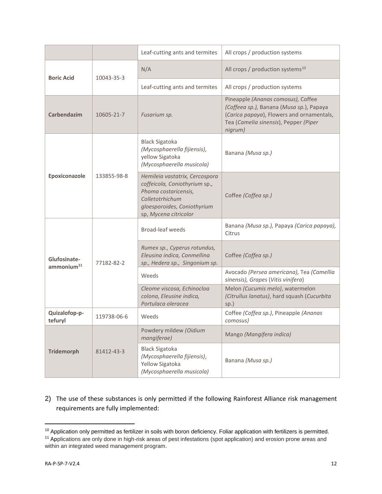|                          |             | Leaf-cutting ants and termites                                                                                                                                     | All crops / production systems                                                                                                                                                  |
|--------------------------|-------------|--------------------------------------------------------------------------------------------------------------------------------------------------------------------|---------------------------------------------------------------------------------------------------------------------------------------------------------------------------------|
| <b>Boric Acid</b>        | 10043-35-3  | N/A                                                                                                                                                                | All crops / production systems <sup>10</sup>                                                                                                                                    |
|                          |             | Leaf-cutting ants and termites                                                                                                                                     | All crops / production systems                                                                                                                                                  |
| <b>Carbendazim</b>       | 10605-21-7  | Fusarium sp.                                                                                                                                                       | Pineapple (Ananas comosus), Coffee<br>(Coffeea sp.), Banana (Musa sp.), Papaya<br>(Carica papaya), Flowers and ornamentals,<br>Tea (Camelia sinensis), Pepper (Piper<br>nigrum) |
|                          |             | <b>Black Sigatoka</b><br>(Mycosphaerella fijiensis),<br>yellow Sigatoka<br>(Mycosphaerella musicola)                                                               | Banana (Musa sp.)                                                                                                                                                               |
| Epoxiconazole            | 133855-98-8 | Hemileia vastatrix, Cercospora<br>coffeicola, Coniothyrium sp.,<br>Phoma costaricensis,<br>Colletotrhichum<br>gloesporoides, Coniothyrium<br>sp, Mycena citricolor | Coffee (Coffea sp.)                                                                                                                                                             |
| Glufosinate-             | 77182-82-2  | <b>Broad-leaf weeds</b>                                                                                                                                            | Banana (Musa sp.), Papaya (Carica papaya),<br>Citrus                                                                                                                            |
|                          |             | Rumex sp., Cyperus rotundus,<br>Eleusina indica, Conmellina<br>sp., Hedera sp., Singonium sp.                                                                      | Coffee (Coffea sp.)                                                                                                                                                             |
| ammonium <sup>11</sup>   |             | Weeds                                                                                                                                                              | Avocado (Persea americana), Tea (Camellia<br>sinensis), Grapes (Vitis vinifera)                                                                                                 |
|                          |             | Cleome viscosa, Echinocloa<br>colona, Eleusine indica,<br>Portulaca oleracea                                                                                       | Melon (Cucumis melo), watermelon<br>(Citrullus lanatus), hard squash (Cucurbita<br>$sp.$ )                                                                                      |
| Quizalofop-p-<br>tefuryl | 119738-06-6 | Weeds                                                                                                                                                              | Coffee (Coffea sp.), Pineapple (Ananas<br>comosus)                                                                                                                              |
| <b>Tridemorph</b>        |             | Powdery mildew (Oidium<br>mangiferae)                                                                                                                              | Mango (Mangifera indica)                                                                                                                                                        |
|                          | 81412-43-3  | <b>Black Sigatoka</b><br>(Mycosphaerella fijiensis),<br>Yellow Sigatoka<br>(Mycosphaerella musicola)                                                               | Banana (Musa sp.)                                                                                                                                                               |

# 2) The use of these substances is only permitted if the following Rainforest Alliance risk management requirements are fully implemented:

<sup>&</sup>lt;sup>10</sup> Application only permitted as fertilizer in soils with boron deficiency. Foliar application with fertilizers is permitted.

<sup>&</sup>lt;sup>11</sup> Applications are only done in high-risk areas of pest infestations (spot application) and erosion prone areas and within an integrated weed management program.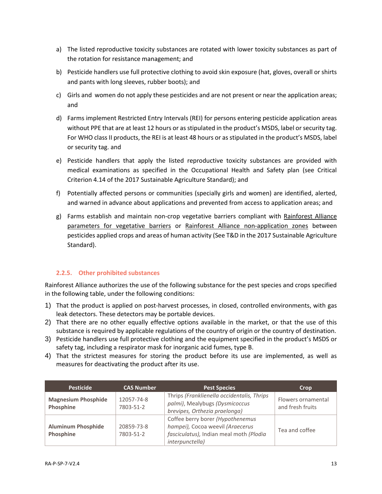- a) The listed reproductive toxicity substances are rotated with lower toxicity substances as part of the rotation for resistance management; and
- b) Pesticide handlers use full protective clothing to avoid skin exposure (hat, gloves, overall or shirts and pants with long sleeves, rubber boots); and
- c) Girls and women do not apply these pesticides and are not present or near the application areas; and
- d) Farms implement Restricted Entry Intervals (REI) for persons entering pesticide application areas without PPE that are at least 12 hours or as stipulated in the product's MSDS, label or security tag. For WHO class II products, the REI is at least 48 hours or as stipulated in the product's MSDS, label or security tag. and
- e) Pesticide handlers that apply the listed reproductive toxicity substances are provided with medical examinations as specified in the Occupational Health and Safety plan (see Critical Criterion 4.14 of the 2017 Sustainable Agriculture Standard); and
- f) Potentially affected persons or communities (specially girls and women) are identified, alerted, and warned in advance about applications and prevented from access to application areas; and
- g) Farms establish and maintain non-crop vegetative barriers compliant with Rainforest Alliance parameters for vegetative barriers or Rainforest Alliance non-application zones between pesticides applied crops and areas of human activity (See T&D in the 2017 Sustainable Agriculture Standard).

#### <span id="page-12-0"></span>**2.2.5. Other prohibited substances**

Rainforest Alliance authorizes the use of the following substance for the pest species and crops specified in the following table, under the following conditions:

- 1) That the product is applied on post-harvest processes, in closed, controlled environments, with gas leak detectors. These detectors may be portable devices.
- 2) That there are no other equally effective options available in the market, or that the use of this substance is required by applicable regulations of the country of origin or the country of destination.
- 3) Pesticide handlers use full protective clothing and the equipment specified in the product's MSDS or safety tag, including a respirator mask for inorganic acid fumes, type B.
- 4) That the strictest measures for storing the product before its use are implemented, as well as measures for deactivating the product after its use.

| <b>Pesticide</b>                        | <b>CAS Number</b>       | <b>Pest Species</b>                                                                                                                | Crop                                   |
|-----------------------------------------|-------------------------|------------------------------------------------------------------------------------------------------------------------------------|----------------------------------------|
| <b>Magnesium Phosphide</b><br>Phosphine | 12057-74-8<br>7803-51-2 | Thrips (Franklienella occidentalis, Thrips<br>palmi), Mealybugs (Dysmicoccus<br>brevipes, Orthezia praelonga)                      | Flowers ornamental<br>and fresh fruits |
| <b>Aluminum Phosphide</b><br>Phosphine  | 20859-73-8<br>7803-51-2 | Coffee berry borer (Hypothenemus<br>hampei), Cocoa weevil (Araecerus<br>fasciculatus), Indian meal moth (Plodia<br>interpunctella) | Tea and coffee                         |